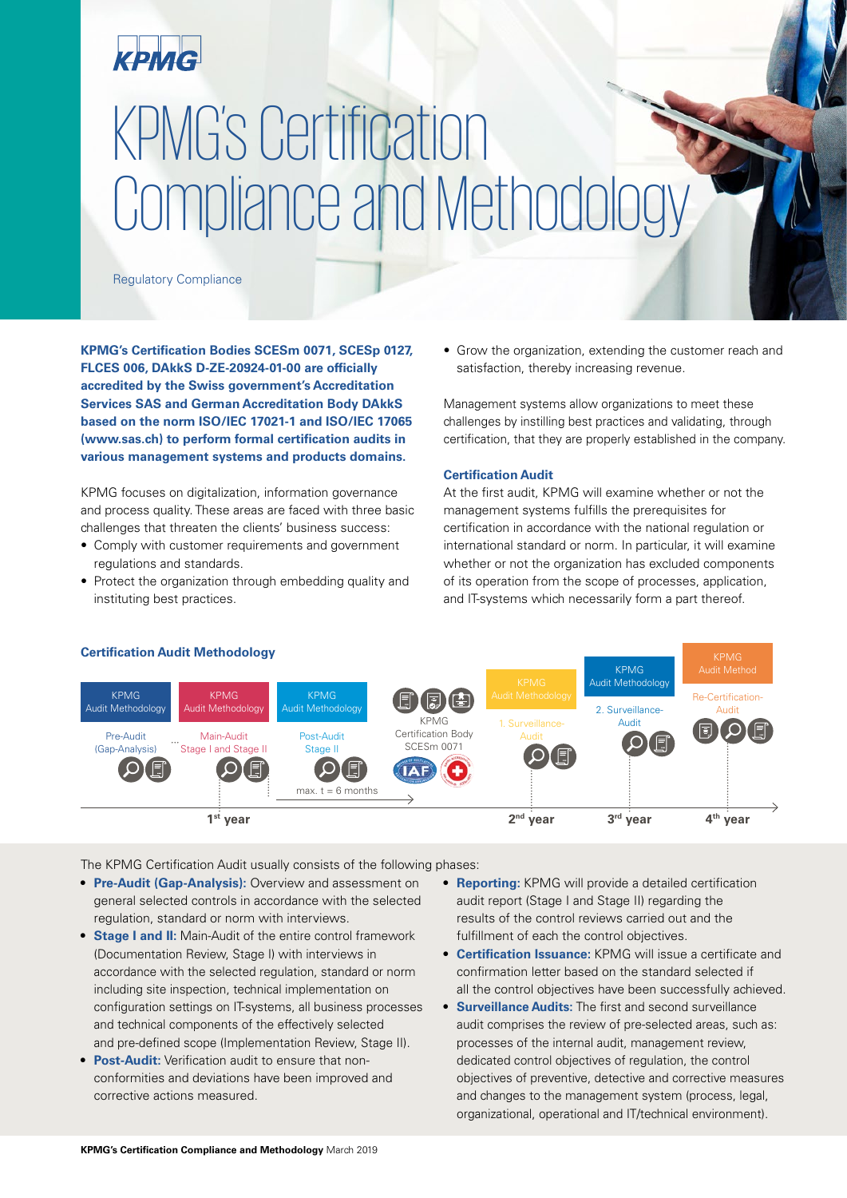### КРМС

# KPMG's Certification Compliance and Methodology

Regulatory Compliance

**KPMG's Certification Bodies SCESm 0071, SCESp 0127, FLCES 006, DAkkS D-ZE-20924-01-00 are officially accredited by the Swiss government's Accreditation Services SAS and German Accreditation Body DAkkS based on the norm ISO/IEC 17021-1 and ISO/IEC 17065 (www.sas.ch) to perform formal certification audits in various management systems and products domains.**

KPMG focuses on digitalization, information governance and process quality. These areas are faced with three basic challenges that threaten the clients' business success:

- Comply with customer requirements and government regulations and standards.
- Protect the organization through embedding quality and instituting best practices.

• Grow the organization, extending the customer reach and satisfaction, thereby increasing revenue.

Management systems allow organizations to meet these challenges by instilling best practices and validating, through certification, that they are properly established in the company.

#### **Certification Audit**

At the first audit, KPMG will examine whether or not the management systems fulfills the prerequisites for certification in accordance with the national regulation or international standard or norm. In particular, it will examine whether or not the organization has excluded components of its operation from the scope of processes, application, and IT-systems which necessarily form a part thereof.



The KPMG Certification Audit usually consists of the following phases:

- **• Pre-Audit (Gap-Analysis):** Overview and assessment on general selected controls in accordance with the selected regulation, standard or norm with interviews.
- **• Stage I and II:** Main-Audit of the entire control framework (Documentation Review, Stage I) with interviews in accordance with the selected regulation, standard or norm including site inspection, technical implementation on configuration settings on IT-systems, all business processes and technical components of the effectively selected and pre-defined scope (Implementation Review, Stage II).
- **• Post-Audit:** Verification audit to ensure that nonconformities and deviations have been improved and corrective actions measured.
- **• Reporting:** KPMG will provide a detailed certification audit report (Stage I and Stage II) regarding the results of the control reviews carried out and the fulfillment of each the control objectives.
- **• Certification Issuance:** KPMG will issue a certificate and confirmation letter based on the standard selected if all the control objectives have been successfully achieved.
- **• Surveillance Audits:** The first and second surveillance audit comprises the review of pre-selected areas, such as: processes of the internal audit, management review, dedicated control objectives of regulation, the control objectives of preventive, detective and corrective measures and changes to the management system (process, legal, organizational, operational and IT/technical environment).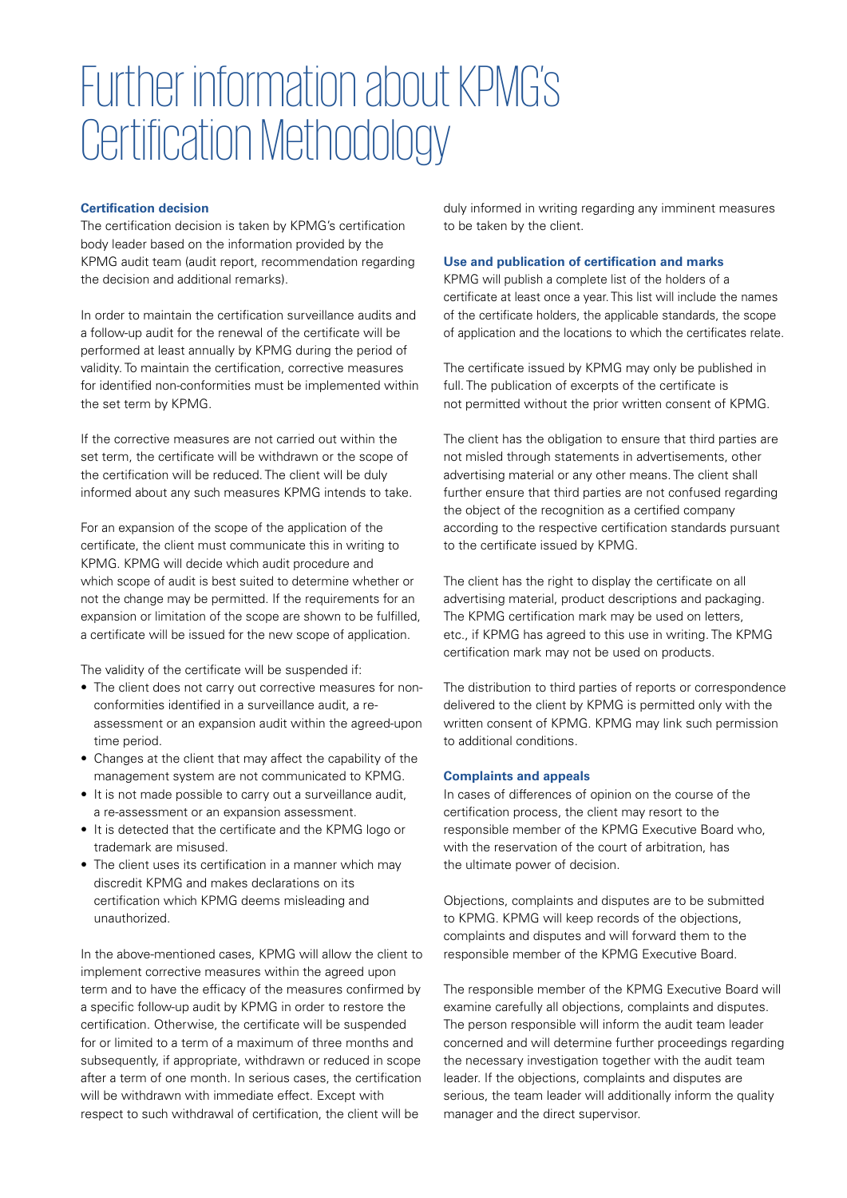## Further information about KPMG's Certification Methodology

#### **Certification decision**

The certification decision is taken by KPMG's certification body leader based on the information provided by the KPMG audit team (audit report, recommendation regarding the decision and additional remarks).

In order to maintain the certification surveillance audits and a follow-up audit for the renewal of the certificate will be performed at least annually by KPMG during the period of validity. To maintain the certification, corrective measures for identified non-conformities must be implemented within the set term by KPMG.

If the corrective measures are not carried out within the set term, the certificate will be withdrawn or the scope of the certification will be reduced. The client will be duly informed about any such measures KPMG intends to take.

For an expansion of the scope of the application of the certificate, the client must communicate this in writing to KPMG. KPMG will decide which audit procedure and which scope of audit is best suited to determine whether or not the change may be permitted. If the requirements for an expansion or limitation of the scope are shown to be fulfilled, a certificate will be issued for the new scope of application.

The validity of the certificate will be suspended if:

- The client does not carry out corrective measures for nonconformities identified in a surveillance audit, a reassessment or an expansion audit within the agreed-upon time period.
- Changes at the client that may affect the capability of the management system are not communicated to KPMG.
- It is not made possible to carry out a surveillance audit, a re-assessment or an expansion assessment.
- It is detected that the certificate and the KPMG logo or trademark are misused.
- The client uses its certification in a manner which may discredit KPMG and makes declarations on its certification which KPMG deems misleading and unauthorized.

In the above-mentioned cases, KPMG will allow the client to implement corrective measures within the agreed upon term and to have the efficacy of the measures confirmed by a specific follow-up audit by KPMG in order to restore the certification. Otherwise, the certificate will be suspended for or limited to a term of a maximum of three months and subsequently, if appropriate, withdrawn or reduced in scope after a term of one month. In serious cases, the certification will be withdrawn with immediate effect. Except with respect to such withdrawal of certification, the client will be

duly informed in writing regarding any imminent measures to be taken by the client.

#### **Use and publication of certification and marks**

KPMG will publish a complete list of the holders of a certificate at least once a year. This list will include the names of the certificate holders, the applicable standards, the scope of application and the locations to which the certificates relate.

The certificate issued by KPMG may only be published in full. The publication of excerpts of the certificate is not permitted without the prior written consent of KPMG.

The client has the obligation to ensure that third parties are not misled through statements in advertisements, other advertising material or any other means. The client shall further ensure that third parties are not confused regarding the object of the recognition as a certified company according to the respective certification standards pursuant to the certificate issued by KPMG.

The client has the right to display the certificate on all advertising material, product descriptions and packaging. The KPMG certification mark may be used on letters, etc., if KPMG has agreed to this use in writing. The KPMG certification mark may not be used on products.

The distribution to third parties of reports or correspondence delivered to the client by KPMG is permitted only with the written consent of KPMG. KPMG may link such permission to additional conditions.

#### **Complaints and appeals**

In cases of differences of opinion on the course of the certification process, the client may resort to the responsible member of the KPMG Executive Board who, with the reservation of the court of arbitration, has the ultimate power of decision.

Objections, complaints and disputes are to be submitted to KPMG. KPMG will keep records of the objections, complaints and disputes and will forward them to the responsible member of the KPMG Executive Board.

The responsible member of the KPMG Executive Board will examine carefully all objections, complaints and disputes. The person responsible will inform the audit team leader concerned and will determine further proceedings regarding the necessary investigation together with the audit team leader. If the objections, complaints and disputes are serious, the team leader will additionally inform the quality manager and the direct supervisor.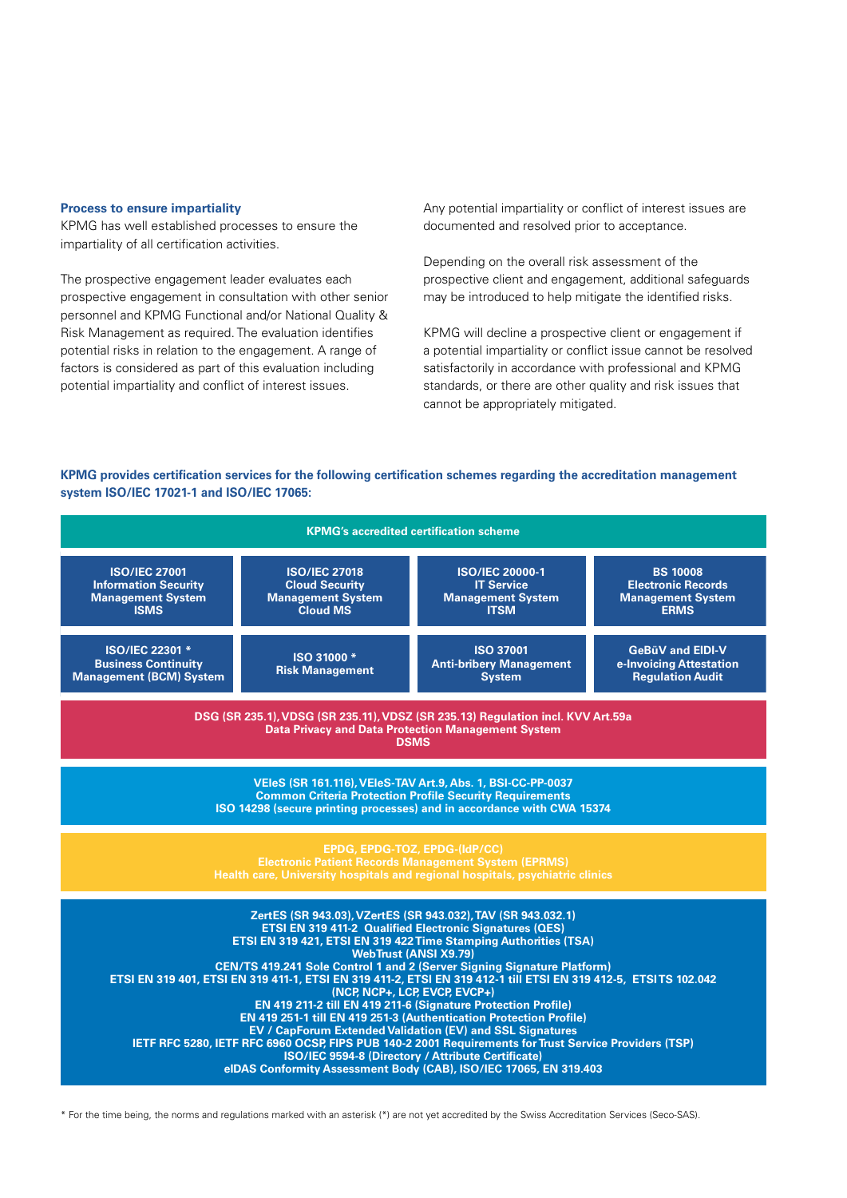#### **Process to ensure impartiality**

KPMG has well established processes to ensure the impartiality of all certification activities.

The prospective engagement leader evaluates each prospective engagement in consultation with other senior personnel and KPMG Functional and/or National Quality & Risk Management as required. The evaluation identifies potential risks in relation to the engagement. A range of factors is considered as part of this evaluation including potential impartiality and conflict of interest issues.

Any potential impartiality or conflict of interest issues are documented and resolved prior to acceptance.

Depending on the overall risk assessment of the prospective client and engagement, additional safeguards may be introduced to help mitigate the identified risks.

KPMG will decline a prospective client or engagement if a potential impartiality or conflict issue cannot be resolved satisfactorily in accordance with professional and KPMG standards, or there are other quality and risk issues that cannot be appropriately mitigated.

#### **KPMG provides certification services for the following certification schemes regarding the accreditation management system ISO/IEC 17021-1 and ISO/IEC 17065:**



\* For the time being, the norms and regulations marked with an asterisk (\*) are not yet accredited by the Swiss Accreditation Services (Seco-SAS).